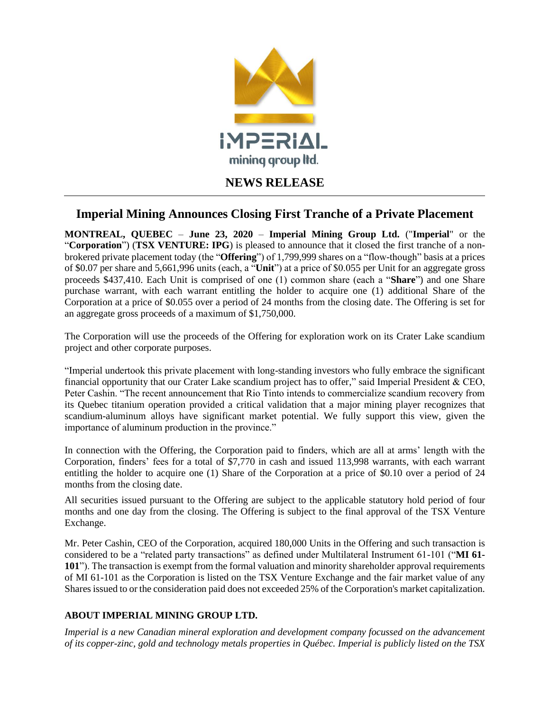

## **Imperial Mining Announces Closing First Tranche of a Private Placement**

**MONTREAL, QUEBEC** – **June 23, 2020** – **Imperial Mining Group Ltd.** ("**Imperial**" or the "**Corporation**") (**TSX VENTURE: IPG**) is pleased to announce that it closed the first tranche of a nonbrokered private placement today (the "**Offering**") of 1,799,999 shares on a "flow-though" basis at a prices of \$0.07 per share and 5,661,996 units (each, a "**Unit**") at a price of \$0.055 per Unit for an aggregate gross proceeds \$437,410. Each Unit is comprised of one (1) common share (each a "**Share**") and one Share purchase warrant, with each warrant entitling the holder to acquire one (1) additional Share of the Corporation at a price of \$0.055 over a period of 24 months from the closing date. The Offering is set for an aggregate gross proceeds of a maximum of \$1,750,000.

The Corporation will use the proceeds of the Offering for exploration work on its Crater Lake scandium project and other corporate purposes.

"Imperial undertook this private placement with long-standing investors who fully embrace the significant financial opportunity that our Crater Lake scandium project has to offer," said Imperial President & CEO, Peter Cashin. "The recent announcement that Rio Tinto intends to commercialize scandium recovery from its Quebec titanium operation provided a critical validation that a major mining player recognizes that scandium-aluminum alloys have significant market potential. We fully support this view, given the importance of aluminum production in the province."

In connection with the Offering, the Corporation paid to finders, which are all at arms' length with the Corporation, finders' fees for a total of \$7,770 in cash and issued 113,998 warrants, with each warrant entitling the holder to acquire one (1) Share of the Corporation at a price of \$0.10 over a period of 24 months from the closing date.

All securities issued pursuant to the Offering are subject to the applicable statutory hold period of four months and one day from the closing. The Offering is subject to the final approval of the TSX Venture Exchange.

Mr. Peter Cashin, CEO of the Corporation, acquired 180,000 Units in the Offering and such transaction is considered to be a "related party transactions" as defined under Multilateral Instrument 61-101 ("**MI 61- 101**"). The transaction is exempt from the formal valuation and minority shareholder approval requirements of MI 61-101 as the Corporation is listed on the TSX Venture Exchange and the fair market value of any Shares issued to or the consideration paid does not exceeded 25% of the Corporation's market capitalization.

## **ABOUT IMPERIAL MINING GROUP LTD.**

*Imperial is a new Canadian mineral exploration and development company focussed on the advancement of its copper-zinc, gold and technology metals properties in Québec. Imperial is publicly listed on the TSX*